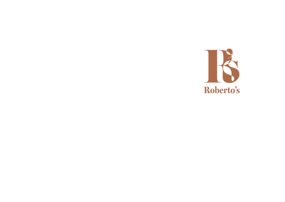